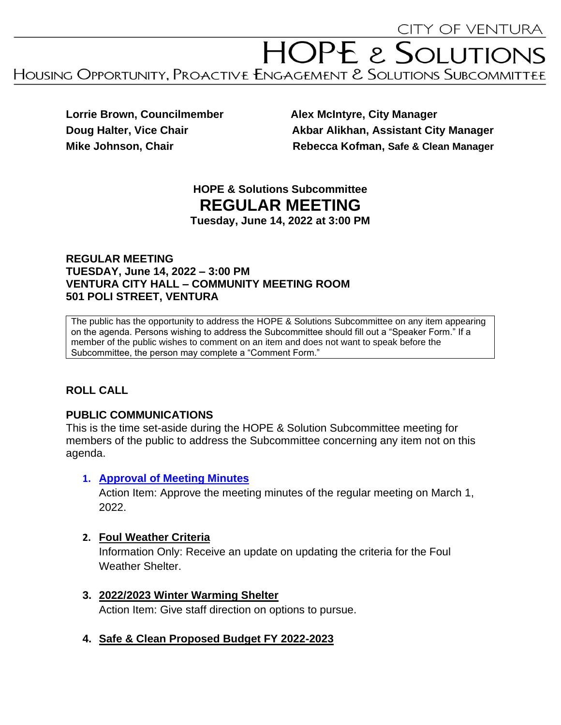# HOPE & SOLUTIONS HOUSING OPPORTUNITY, PROACTIVE ENGAGEMENT & SOLUTIONS SUBCOMMITTEE

**Lorrie Brown, Councilmember Alex McIntyre, City Manager** 

**Doug Halter, Vice Chair Akbar Alikhan, Assistant City Manager Mike Johnson, Chair Chair Rebecca Kofman, Safe & Clean Manager** 

# **HOPE & Solutions Subcommittee REGULAR MEETING**

**Tuesday, June 14, 2022 at 3:00 PM**

#### **REGULAR MEETING TUESDAY, June 14, 2022 – 3:00 PM VENTURA CITY HALL – COMMUNITY MEETING ROOM 501 POLI STREET, VENTURA**

The public has the opportunity to address the HOPE & Solutions Subcommittee on any item appearing on the agenda. Persons wishing to address the Subcommittee should fill out a "Speaker Form." If a member of the public wishes to comment on an item and does not want to speak before the Subcommittee, the person may complete a "Comment Form."

# **ROLL CALL**

# **PUBLIC COMMUNICATIONS**

This is the time set-aside during the HOPE & Solution Subcommittee meeting for members of the public to address the Subcommittee concerning any item not on this agenda.

# **1. [Approval of Meeting Minutes](../3-1-2022/3-1-2022%20HOPE%20Agenda%20Minutes.pdf)**

Action Item: Approve the meeting minutes of the regular meeting on March 1, 2022.

# **2. Foul Weather Criteria**

Information Only: Receive an update on updating the criteria for the Foul Weather Shelter.

**3. 2022/2023 Winter Warming Shelter**

Action Item: Give staff direction on options to pursue.

# **4. Safe & Clean Proposed Budget FY 2022-2023**